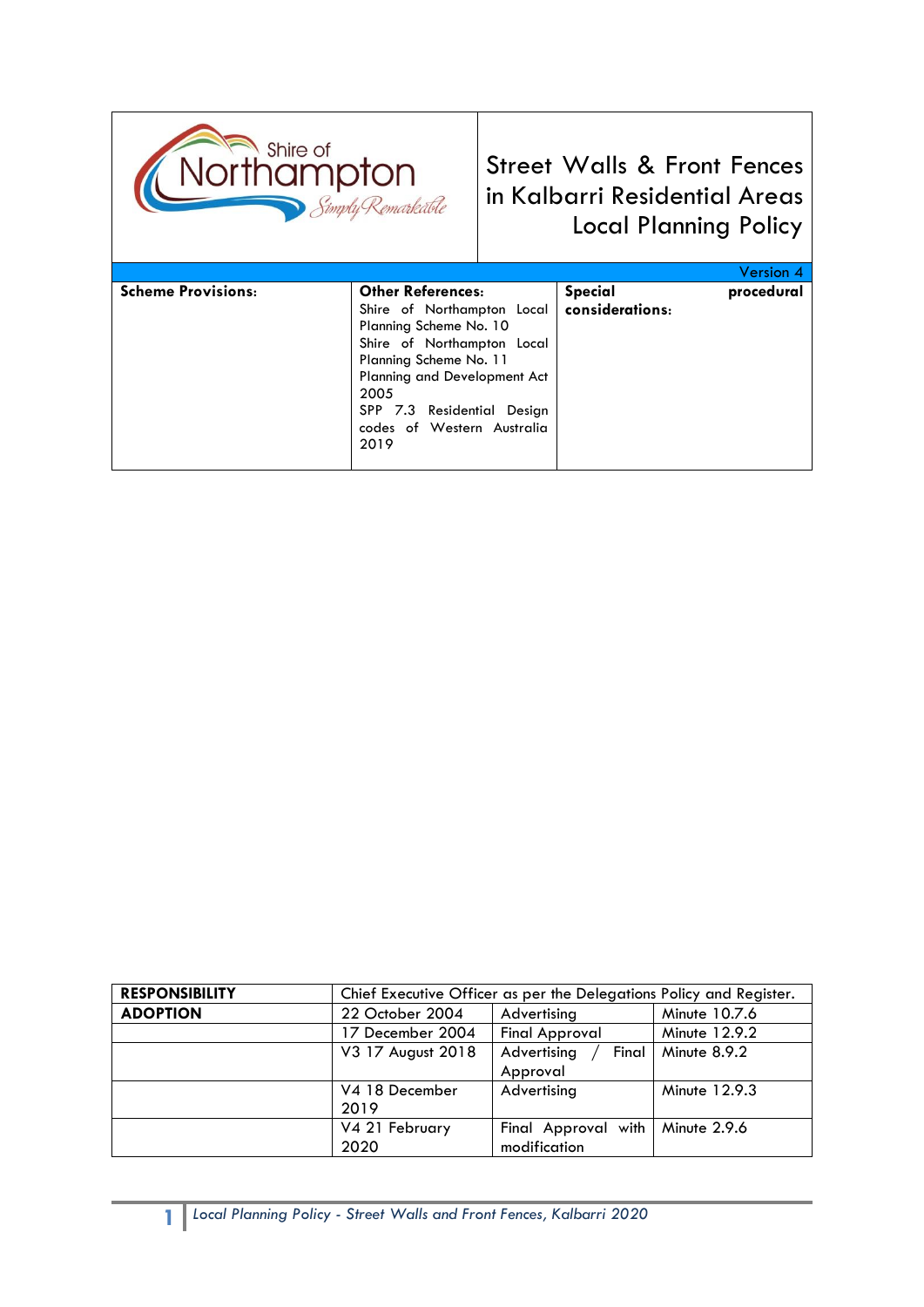

Street Walls & Front Fences in Kalbarri Residential Areas Local Planning Policy

|                           |                               |                 | Version 4  |
|---------------------------|-------------------------------|-----------------|------------|
| <b>Scheme Provisions:</b> | <b>Other References:</b>      | <b>Special</b>  | procedural |
|                           | Shire of Northampton Local    | considerations: |            |
|                           | Planning Scheme No. 10        |                 |            |
|                           | Shire of Northampton Local    |                 |            |
|                           | Planning Scheme No. 11        |                 |            |
|                           | Planning and Development Act  |                 |            |
|                           | 2005                          |                 |            |
|                           | SPP 7.3 Residential<br>Design |                 |            |
|                           | codes of Western Australia    |                 |            |
|                           | 2019                          |                 |            |
|                           |                               |                 |            |

| <b>RESPONSIBILITY</b> | Chief Executive Officer as per the Delegations Policy and Register. |                       |               |
|-----------------------|---------------------------------------------------------------------|-----------------------|---------------|
| <b>ADOPTION</b>       | 22 October 2004                                                     | Advertising           | Minute 10.7.6 |
|                       | 17 December 2004                                                    | <b>Final Approval</b> | Minute 12.9.2 |
|                       | V3 17 August 2018                                                   | Advertising<br>Final  | Minute 8.9.2  |
|                       |                                                                     | Approval              |               |
|                       | V4 18 December                                                      | Advertising           | Minute 12.9.3 |
|                       | 2019                                                                |                       |               |
|                       | V4 21 February                                                      | Final Approval with   | Minute 2.9.6  |
|                       | 2020                                                                | modification          |               |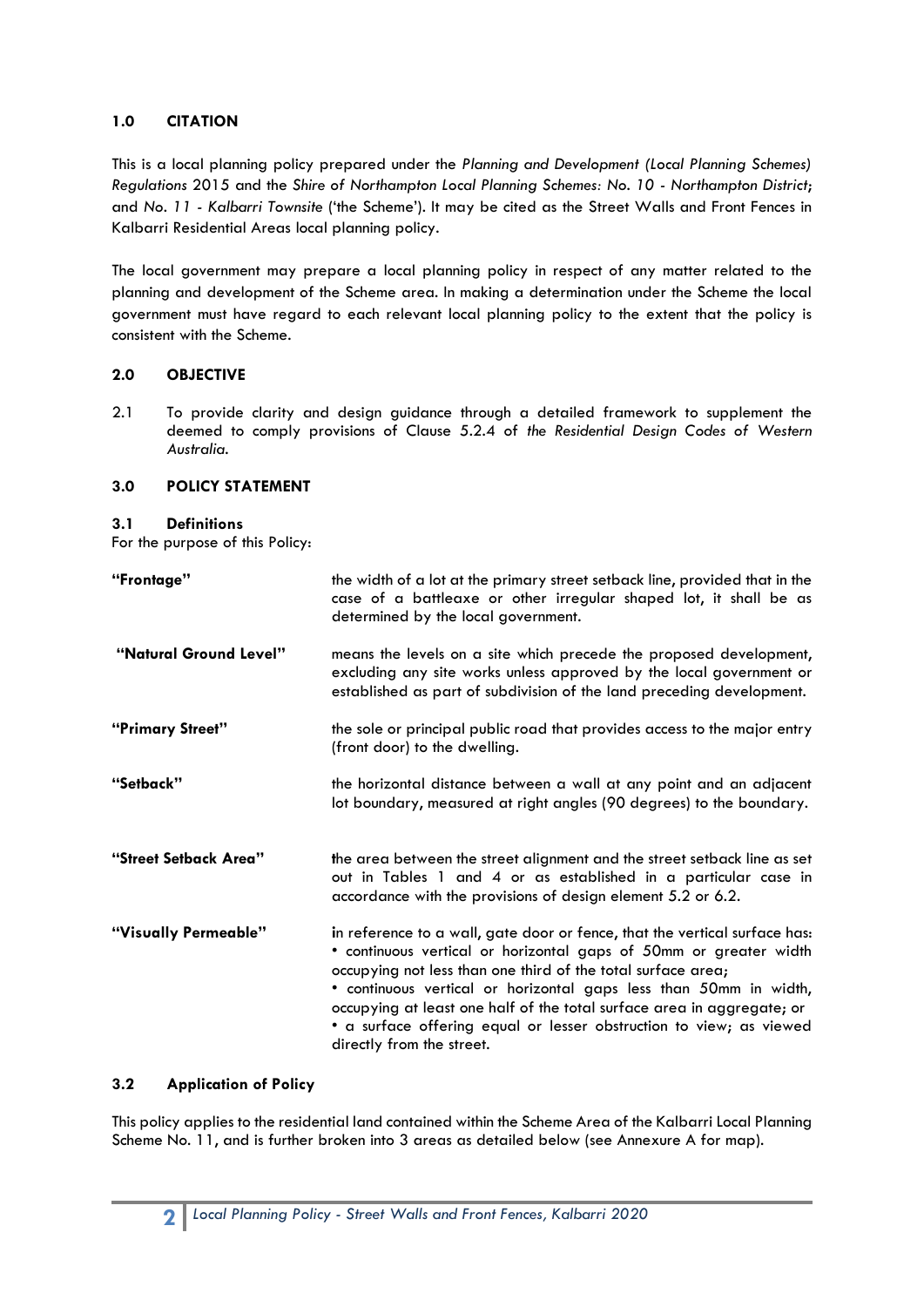# **1.0 CITATION**

This is a local planning policy prepared under the *Planning and Development (Local Planning Schemes) Regulations* 2015 and the *Shire of Northampton Local Planning Schemes: No. 10 - Northampton District*; and *No. 11 - Kalbarri Townsite* ('the Scheme'). It may be cited as the Street Walls and Front Fences in Kalbarri Residential Areas local planning policy.

The local government may prepare a local planning policy in respect of any matter related to the planning and development of the Scheme area. In making a determination under the Scheme the local government must have regard to each relevant local planning policy to the extent that the policy is consistent with the Scheme.

# **2.0 OBJECTIVE**

2.1 To provide clarity and design guidance through a detailed framework to supplement the deemed to comply provisions of Clause 5.2.4 of *the Residential Design Codes of Western Australia.*

## **3.0 POLICY STATEMENT**

#### **3.1 Definitions**

For the purpose of this Policy:

| "Frontage"             | the width of a lot at the primary street setback line, provided that in the<br>case of a battleaxe or other irregular shaped lot, it shall be as<br>determined by the local government.                                                                                                                                                                                                                                                                            |
|------------------------|--------------------------------------------------------------------------------------------------------------------------------------------------------------------------------------------------------------------------------------------------------------------------------------------------------------------------------------------------------------------------------------------------------------------------------------------------------------------|
| "Natural Ground Level" | means the levels on a site which precede the proposed development,<br>excluding any site works unless approved by the local government or<br>established as part of subdivision of the land preceding development.                                                                                                                                                                                                                                                 |
| "Primary Street"       | the sole or principal public road that provides access to the major entry<br>(front door) to the dwelling.                                                                                                                                                                                                                                                                                                                                                         |
| "Setback"              | the horizontal distance between a wall at any point and an adjacent<br>lot boundary, measured at right angles (90 degrees) to the boundary.                                                                                                                                                                                                                                                                                                                        |
| "Street Setback Area"  | the area between the street alignment and the street setback line as set<br>out in Tables 1 and 4 or as established in a particular case in<br>accordance with the provisions of design element 5.2 or 6.2.                                                                                                                                                                                                                                                        |
| "Visually Permeable"   | in reference to a wall, gate door or fence, that the vertical surface has:<br>· continuous vertical or horizontal gaps of 50mm or greater width<br>occupying not less than one third of the total surface area;<br>· continuous vertical or horizontal gaps less than 50mm in width,<br>occupying at least one half of the total surface area in aggregate; or<br>• a surface offering equal or lesser obstruction to view; as viewed<br>directly from the street. |

## **3.2 Application of Policy**

This policy applies to the residential land contained within the Scheme Area of the Kalbarri Local Planning Scheme No. 11, and is further broken into 3 areas as detailed below (see Annexure A for map).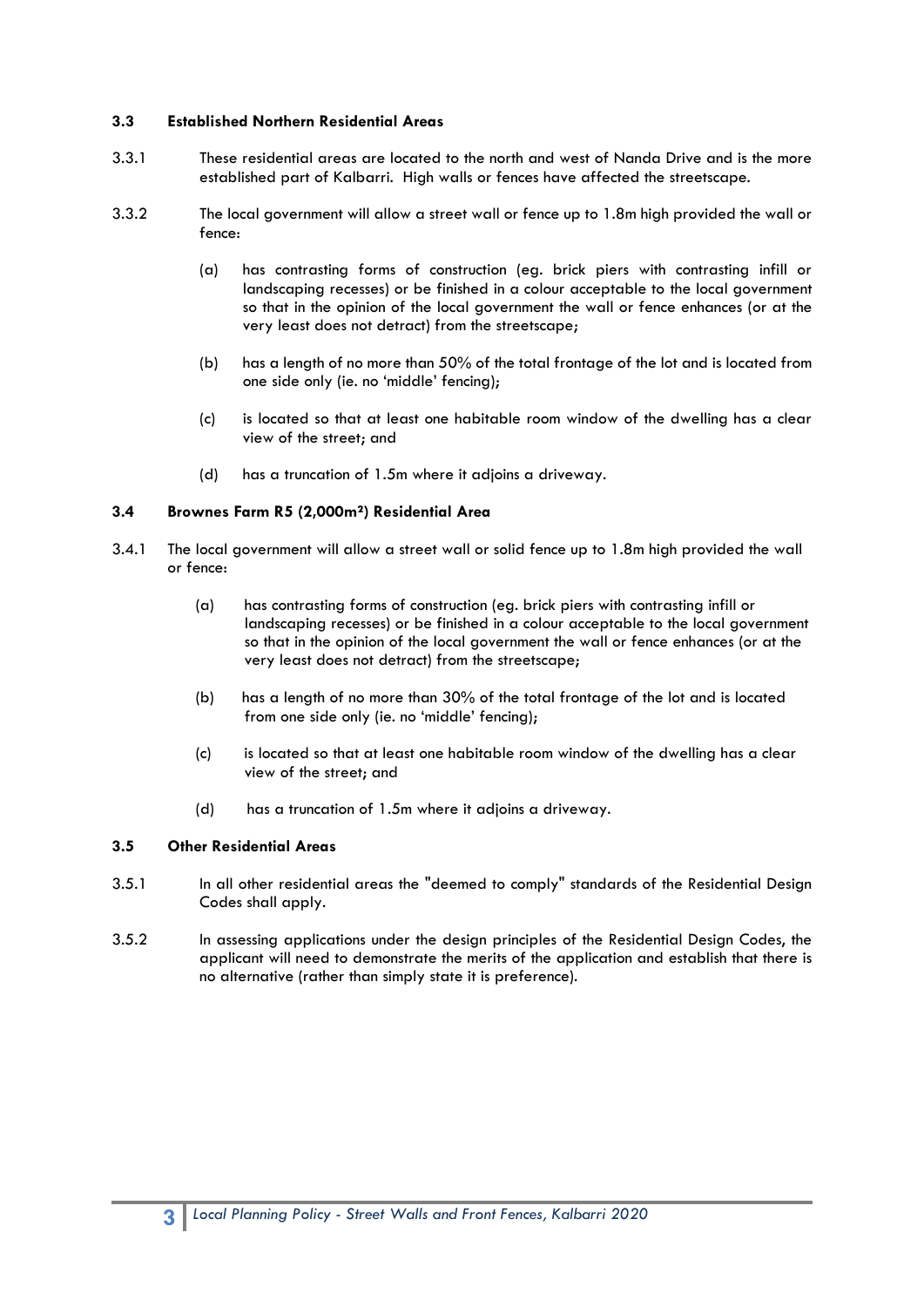### **3.3 Established Northern Residential Areas**

- 3.3.1 These residential areas are located to the north and west of Nanda Drive and is the more established part of Kalbarri. High walls or fences have affected the streetscape.
- 3.3.2 The local government will allow a street wall or fence up to 1.8m high provided the wall or fence:
	- (a) has contrasting forms of construction (eg. brick piers with contrasting infill or landscaping recesses) or be finished in a colour acceptable to the local government so that in the opinion of the local government the wall or fence enhances (or at the very least does not detract) from the streetscape;
	- (b) has a length of no more than 50% of the total frontage of the lot and is located from one side only (ie. no 'middle' fencing);
	- (c) is located so that at least one habitable room window of the dwelling has a clear view of the street; and
	- (d) has a truncation of 1.5m where it adjoins a driveway.

#### **3.4 Brownes Farm R5 (2,000m²) Residential Area**

- 3.4.1 The local government will allow a street wall or solid fence up to 1.8m high provided the wall or fence:
	- (a) has contrasting forms of construction (eg. brick piers with contrasting infill or landscaping recesses) or be finished in a colour acceptable to the local government so that in the opinion of the local government the wall or fence enhances (or at the very least does not detract) from the streetscape;
	- (b) has a length of no more than 30% of the total frontage of the lot and is located from one side only (ie. no 'middle' fencing);
	- (c) is located so that at least one habitable room window of the dwelling has a clear view of the street; and
	- (d) has a truncation of 1.5m where it adjoins a driveway.

## **3.5 Other Residential Areas**

- 3.5.1 In all other residential areas the "deemed to comply" standards of the Residential Design Codes shall apply.
- 3.5.2 In assessing applications under the design principles of the Residential Design Codes, the applicant will need to demonstrate the merits of the application and establish that there is no alternative (rather than simply state it is preference).